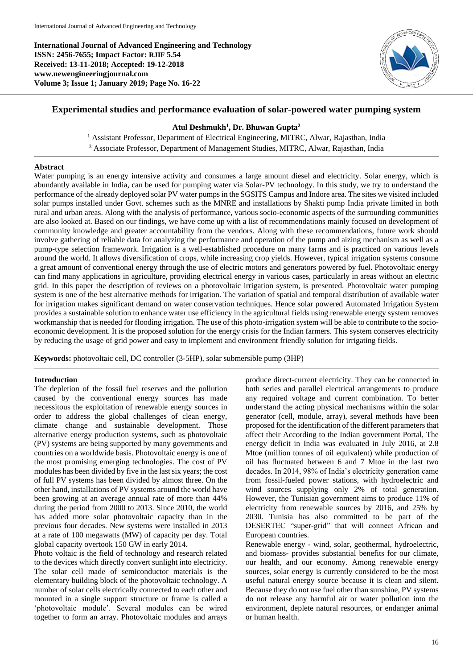**International Journal of Advanced Engineering and Technology ISSN: 2456-7655; Impact Factor: RJIF 5.54 Received: 13-11-2018; Accepted: 19-12-2018 www.newengineeringjournal.com Volume 3; Issue 1; January 2019; Page No. 16-22**



# **Experimental studies and performance evaluation of solar-powered water pumping system**

### **Atul Deshmukh<sup>1</sup> , Dr. Bhuwan Gupta<sup>2</sup>**

<sup>1</sup> Assistant Professor, Department of Electrical Engineering, MITRC, Alwar, Rajasthan, India <sup>3</sup> Associate Professor, Department of Management Studies, MITRC, Alwar, Rajasthan, India

#### **Abstract**

Water pumping is an energy intensive activity and consumes a large amount diesel and electricity. Solar energy, which is abundantly available in India, can be used for pumping water via Solar-PV technology. In this study, we try to understand the performance of the already deployed solar PV water pumps in the SGSITS Campus and Indore area. The sites we visited included solar pumps installed under Govt. schemes such as the MNRE and installations by Shakti pump India private limited in both rural and urban areas. Along with the analysis of performance, various socio-economic aspects of the surrounding communities are also looked at. Based on our findings, we have come up with a list of recommendations mainly focused on development of community knowledge and greater accountability from the vendors. Along with these recommendations, future work should involve gathering of reliable data for analyzing the performance and operation of the pump and aizing mechanism as well as a pump-type selection framework. Irrigation is a well-established procedure on many farms and is practiced on various levels around the world. It allows diversification of crops, while increasing crop yields. However, typical irrigation systems consume a great amount of conventional energy through the use of electric motors and generators powered by fuel. Photovoltaic energy can find many applications in agriculture, providing electrical energy in various cases, particularly in areas without an electric grid. In this paper the description of reviews on a photovoltaic irrigation system, is presented. Photovoltaic water pumping system is one of the best alternative methods for irrigation. The variation of spatial and temporal distribution of available water for irrigation makes significant demand on water conservation techniques. Hence solar powered Automated Irrigation System provides a sustainable solution to enhance water use efficiency in the agricultural fields using renewable energy system removes workmanship that is needed for flooding irrigation. The use of this photo-irrigation system will be able to contribute to the socioeconomic development. It is the proposed solution for the energy crisis for the Indian farmers. This system conserves electricity by reducing the usage of grid power and easy to implement and environment friendly solution for irrigating fields.

**Keywords:** photovoltaic cell, DC controller (3-5HP), solar submersible pump (3HP)

#### **Introduction**

The depletion of the fossil fuel reserves and the pollution caused by the conventional energy sources has made necessitous the exploitation of renewable energy sources in order to address the global challenges of clean energy, climate change and sustainable development. Those alternative energy production systems, such as photovoltaic (PV) systems are being supported by many governments and countries on a worldwide basis. Photovoltaic energy is one of the most promising emerging technologies. The cost of PV modules has been divided by five in the last six years; the cost of full PV systems has been divided by almost three. On the other hand, installations of PV systems around the world have been growing at an average annual rate of more than 44% during the period from 2000 to 2013. Since 2010, the world has added more solar photovoltaic capacity than in the previous four decades. New systems were installed in 2013 at a rate of 100 megawatts (MW) of capacity per day. Total global capacity overtook 150 GW in early 2014.

Photo voltaic is the field of technology and research related to the devices which directly convert sunlight into electricity. The solar cell made of semiconductor materials is the elementary building block of the photovoltaic technology. A number of solar cells electrically connected to each other and mounted in a single support structure or frame is called a 'photovoltaic module'. Several modules can be wired together to form an array. Photovoltaic modules and arrays

produce direct-current electricity. They can be connected in both series and parallel electrical arrangements to produce any required voltage and current combination. To better understand the acting physical mechanisms within the solar generator (cell, module, array), several methods have been proposed for the identification of the different parameters that affect their According to the Indian government Portal, The energy deficit in India was evaluated in July 2016, at 2.8 Mtoe (million tonnes of oil equivalent) while production of oil has fluctuated between 6 and 7 Mtoe in the last two decades. In 2014, 98% of India's electricity generation came from fossil-fueled power stations, with hydroelectric and wind sources supplying only 2% of total generation. However, the Tunisian government aims to produce 11% of electricity from renewable sources by 2016, and 25% by 2030. Tunisia has also committed to be part of the DESERTEC "super-grid" that will connect African and European countries.

Renewable energy - wind, solar, geothermal, hydroelectric, and biomass- provides substantial benefits for our climate, our health, and our economy. Among renewable energy sources, solar energy is currently considered to be the most useful natural energy source because it is clean and silent. Because they do not use fuel other than sunshine, PV systems do not release any harmful air or water pollution into the environment, deplete natural resources, or endanger animal or human health.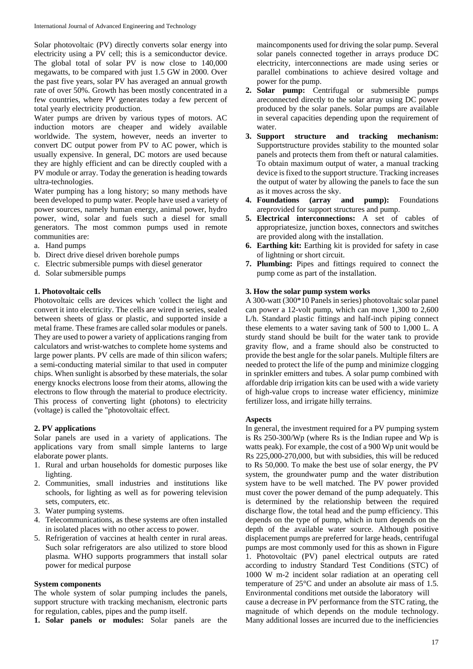Solar photovoltaic (PV) directly converts solar energy into electricity using a PV cell; this is a semiconductor device. The global total of solar PV is now close to 140,000 megawatts, to be compared with just 1.5 GW in 2000. Over the past five years, solar PV has averaged an annual growth rate of over 50%. Growth has been mostly concentrated in a few countries, where PV generates today a few percent of total yearly electricity production.

Water pumps are driven by various types of motors. AC induction motors are cheaper and widely available worldwide. The system, however, needs an inverter to convert DC output power from PV to AC power, which is usually expensive. In general, DC motors are used because they are highly efficient and can be directly coupled with a PV module or array. Today the generation is heading towards ultra-technologies.

Water pumping has a long history; so many methods have been developed to pump water. People have used a variety of power sources, namely human energy, animal power, hydro power, wind, solar and fuels such a diesel for small generators. The most common pumps used in remote communities are:

- a. Hand pumps
- b. Direct drive diesel driven borehole pumps
- c. Electric submersible pumps with diesel generator
- d. Solar submersible pumps

### **1. Photovoltaic cells**

Photovoltaic cells are devices which 'collect the light and convert it into electricity. The cells are wired in series, sealed between sheets of glass or plastic, and supported inside a metal frame. These frames are called solar modules or panels. They are used to power a variety of applications ranging from calculators and wrist-watches to complete home systems and large power plants. PV cells are made of thin silicon wafers; a semi-conducting material similar to that used in computer chips. When sunlight is absorbed by these materials, the solar energy knocks electrons loose from their atoms, allowing the electrons to flow through the material to produce electricity. This process of converting light (photons) to electricity (voltage) is called the "photovoltaic effect.

### **2. PV applications**

Solar panels are used in a variety of applications. The applications vary from small simple lanterns to large elaborate power plants.

- 1. Rural and urban households for domestic purposes like lighting.
- 2. Communities, small industries and institutions like schools, for lighting as well as for powering television sets, computers, etc.
- 3. Water pumping systems.
- 4. Telecommunications, as these systems are often installed in isolated places with no other access to power.
- 5. Refrigeration of vaccines at health center in rural areas. Such solar refrigerators are also utilized to store blood plasma. WHO supports programmers that install solar power for medical purpose

### **System components**

The whole system of solar pumping includes the panels, support structure with tracking mechanism, electronic parts for regulation, cables, pipes and the pump itself.

**1. Solar panels or modules:** Solar panels are the

maincomponents used for driving the solar pump. Several solar panels connected together in arrays produce DC electricity, interconnections are made using series or parallel combinations to achieve desired voltage and power for the pump.

- **2. Solar pump:** Centrifugal or submersible pumps areconnected directly to the solar array using DC power produced by the solar panels. Solar pumps are available in several capacities depending upon the requirement of water.
- **3. Support structure and tracking mechanism:**  Supportstructure provides stability to the mounted solar panels and protects them from theft or natural calamities. To obtain maximum output of water, a manual tracking device is fixed to the support structure. Tracking increases the output of water by allowing the panels to face the sun as it moves across the sky.
- **4. Foundations (array and pump):** Foundations areprovided for support structures and pump.
- **5. Electrical interconnections:** A set of cables of appropriatesize, junction boxes, connectors and switches are provided along with the installation.
- **6. Earthing kit:** Earthing kit is provided for safety in case of lightning or short circuit.
- **7. Plumbing:** Pipes and fittings required to connect the pump come as part of the installation.

### **3. How the solar pump system works**

A 300-watt (300\*10 Panels in series) photovoltaic solar panel can power a 12-volt pump, which can move 1,300 to 2,600 L/h. Standard plastic fittings and half-inch piping connect these elements to a water saving tank of 500 to 1,000 L. A sturdy stand should be built for the water tank to provide gravity flow, and a frame should also be constructed to provide the best angle for the solar panels. Multiple filters are needed to protect the life of the pump and minimize clogging in sprinkler emitters and tubes. A solar pump combined with affordable drip irrigation kits can be used with a wide variety of high-value crops to increase water efficiency, minimize fertilizer loss, and irrigate hilly terrains.

# **Aspects**

In general, the investment required for a PV pumping system is Rs 250-300/Wp (where Rs is the Indian rupee and Wp is watts peak). For example, the cost of a 900 Wp unit would be Rs 225,000-270,000, but with subsidies, this will be reduced to Rs 50,000. To make the best use of solar energy, the PV system, the groundwater pump and the water distribution system have to be well matched. The PV power provided must cover the power demand of the pump adequately. This is determined by the relationship between the required discharge flow, the total head and the pump efficiency. This depends on the type of pump, which in turn depends on the depth of the available water source. Although positive displacement pumps are preferred for large heads, centrifugal pumps are most commonly used for this as shown in Figure 1. Photovoltaic (PV) panel electrical outputs are rated according to industry Standard Test Conditions (STC) of 1000 W m-2 incident solar radiation at an operating cell temperature of 25°C and under an absolute air mass of 1.5. Environmental conditions met outside the laboratory will cause a decrease in PV performance from the STC rating, the magnitude of which depends on the module technology. Many additional losses are incurred due to the inefficiencies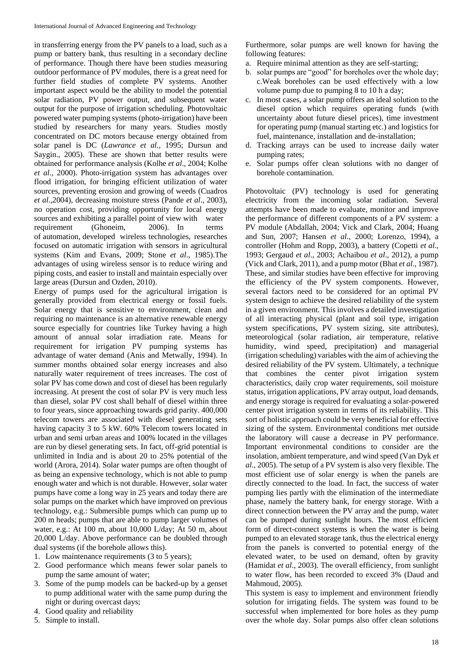in transferring energy from the PV panels to a load, such as a pump or battery bank, thus resulting in a secondary decline of performance. Though there have been studies measuring outdoor performance of PV modules, there is a great need for further field studies of complete PV systems. Another important aspect would be the ability to model the potential solar radiation, PV power output, and subsequent water output for the purpose of irrigation scheduling. Photovoltaic powered water pumping systems (photo-irrigation) have been studied by researchers for many years. Studies mostly concentrated on DC motors because energy obtained from solar panel is DC (*Lawrance et al.,* 1995; Dursun and Saygin., 2005). These are shown that better results were obtained for performance analysis (Kolhe *et al*., 2004; Kolhe *et al*., 2000). Photo-irrigation system has advantages over flood irrigation, for bringing efficient utilization of water sources, preventing erosion and growing of weeds (Cuadros *et al*.,2004), decreasing moisture stress (Pande *et al*., 2003), no operation cost, providing opportunity for local energy sources and exhibiting a parallel point of view with water requirement (Ghoneim, 2006). In terms of automation, developed wireless technologies, researches focused on automatic irrigation with sensors in agricultural systems (Kim and Evans, 2009; Stone *et al*., 1985).The advantages of using wireless sensor is to reduce wiring and piping costs, and easier to install and maintain especially over large areas (Dursun and Ozden, 2010).

Energy of pumps used for the agricultural irrigation is generally provided from electrical energy or fossil fuels. Solar energy that is sensitive to environment, clean and requiring no maintenance is an alternative renewable energy source especially for countries like Turkey having a high amount of annual solar irradiation rate. Means for requirement for irrigation PV pumping systems has advantage of water demand (Anis and Metwally, 1994). In summer months obtained solar energy increases and also naturally water requirement of trees increases. The cost of solar PV has come down and cost of diesel has been regularly increasing. At present the cost of solar PV is very much less than diesel, solar PV cost shall behalf of diesel within three to four years, since approaching towards grid parity. 400,000 telecom towers are associated with diesel generating sets having capacity 3 to 5 kW. 60% Telecom towers located in urban and semi urban areas and 100% located in the villages are run by diesel generating sets. In fact, off-grid potential is unlimited in India and is about 20 to 25% potential of the world (Arora, 2014). Solar water pumps are often thought of as being an expensive technology, which is not able to pump enough water and which is not durable. However, solar water pumps have come a long way in 25 years and today there are solar pumps on the market which have improved on previous technology, e.g.: Submersible pumps which can pump up to 200 m heads; pumps that are able to pump larger volumes of water, e.g.: At 100 m, about 10,000 L/day; At 50 m, about 20,000 L/day. Above performance can be doubled through dual systems (if the borehole allows this).

- 1. Low maintenance requirements (3 to 5 years);
- 2. Good performance which means fewer solar panels to pump the same amount of water;
- 3. Some of the pump models can be backed-up by a genset to pump additional water with the same pump during the night or during overcast days;
- 4. Good quality and reliability
- 5. Simple to install.

Furthermore, solar pumps are well known for having the following features:

- a. Require minimal attention as they are self-starting;
- b. solar pumps are "good" for boreholes over the whole day; c.Weak boreholes can be used effectively with a low volume pump due to pumping 8 to 10 h a day;
- c. In most cases, a solar pump offers an ideal solution to the diesel option which requires operating funds (with uncertainty about future diesel prices), time investment for operating pump (manual starting etc.) and logistics for fuel, maintenance, installation and de-installation;
- d. Tracking arrays can be used to increase daily water pumping rates;
- Solar pumps offer clean solutions with no danger of borehole contamination.

Photovoltaic (PV) technology is used for generating electricity from the incoming solar radiation. Several attempts have been made to evaluate, monitor and improve the performance of different components of a PV system: a PV module (Abdallah, 2004; Vick and Clark, 2004; Huang and Sun, 2007; Hansen *et al*., 2000; Lorenzo, 1994), a controller (Hohm and Ropp, 2003), a battery (Copetti *et al*., 1993; Gergaud *et al*., 2003; Achaibou *et al*., 2012), a pump (Vick and Clark, 2011), and a pump motor (Bhat *et al*., 1987). These, and similar studies have been effective for improving the efficiency of the PV system components. However, several factors need to be considered for an optimal PV system design to achieve the desired reliability of the system in a given environment. This involves a detailed investigation of all interacting physical (plant and soil type, irrigation system specifications, PV system sizing, site attributes), meteorological (solar radiation, air temperature, relative humidity, wind speed, precipitation) and managerial (irrigation scheduling) variables with the aim of achieving the desired reliability of the PV system. Ultimately, a technique that combines the center pivot irrigation system characteristics, daily crop water requirements, soil moisture status, irrigation applications, PV array output, load demands, and energy storage is required for evaluating a solar-powered center pivot irrigation system in terms of its reliability. This sort of holistic approach could be very beneficial for effective sizing of the system. Environmental conditions met outside the laboratory will cause a decrease in PV performance. Important environmental conditions to consider are the insolation, ambient temperature, and wind speed (Van Dyk *et al*., 2005). The setup of a PV system is also very flexible. The most efficient use of solar energy is when the panels are directly connected to the load. In fact, the success of water pumping lies partly with the elimination of the intermediate phase, namely the battery bank, for energy storage. With a direct connection between the PV array and the pump, water can be pumped during sunlight hours. The most efficient form of direct-connect systems is when the water is being pumped to an elevated storage tank, thus the electrical energy from the panels is converted to potential energy of the elevated water, to be used on demand, often by gravity (Hamidat *et al*., 2003). The overall efficiency, from sunlight to water flow, has been recorded to exceed 3% (Daud and Mahmoud, 2005).

This system is easy to implement and environment friendly solution for irrigating fields. The system was found to be successful when implemented for bore holes as they pump over the whole day. Solar pumps also offer clean solutions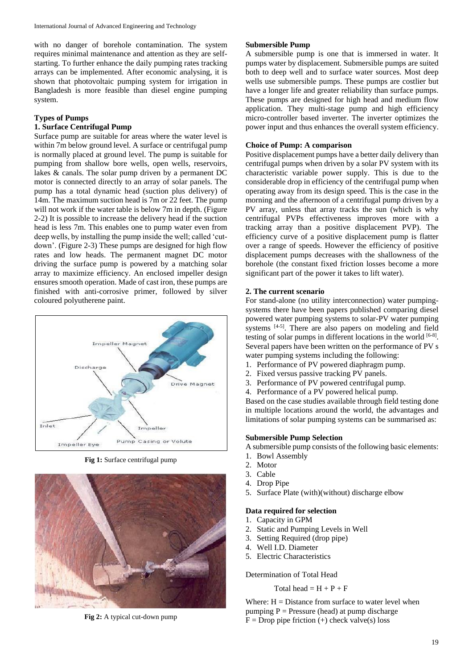with no danger of borehole contamination. The system requires minimal maintenance and attention as they are selfstarting. To further enhance the daily pumping rates tracking arrays can be implemented. After economic analysing, it is shown that photovoltaic pumping system for irrigation in Bangladesh is more feasible than diesel engine pumping system.

### **Types of Pumps**

## **1. Surface Centrifugal Pump**

Surface pump are suitable for areas where the water level is within 7m below ground level. A surface or centrifugal pump is normally placed at ground level. The pump is suitable for pumping from shallow bore wells, open wells, reservoirs, lakes & canals. The solar pump driven by a permanent DC motor is connected directly to an array of solar panels. The pump has a total dynamic head (suction plus delivery) of 14m. The maximum suction head is 7m or 22 feet. The pump will not work if the water table is below 7m in depth. (Figure 2-2) It is possible to increase the delivery head if the suction head is less 7m. This enables one to pump water even from deep wells, by installing the pump inside the well; called 'cutdown'. (Figure 2-3) These pumps are designed for high flow rates and low heads. The permanent magnet DC motor driving the surface pump is powered by a matching solar array to maximize efficiency. An enclosed impeller design ensures smooth operation. Made of cast iron, these pumps are finished with anti-corrosive primer, followed by silver coloured polyutherene paint.



**Fig 1:** Surface centrifugal pump



**Fig 2:** A typical cut-down pump

#### **Submersible Pump**

A submersible pump is one that is immersed in water. It pumps water by displacement. Submersible pumps are suited both to deep well and to surface water sources. Most deep wells use submersible pumps. These pumps are costlier but have a longer life and greater reliability than surface pumps. These pumps are designed for high head and medium flow application. They multi-stage pump and high efficiency micro-controller based inverter. The inverter optimizes the power input and thus enhances the overall system efficiency.

### **Choice of Pump: A comparison**

Positive displacement pumps have a better daily delivery than centrifugal pumps when driven by a solar PV system with its characteristic variable power supply. This is due to the considerable drop in efficiency of the centrifugal pump when operating away from its design speed. This is the case in the morning and the afternoon of a centrifugal pump driven by a PV array, unless that array tracks the sun (which is why centrifugal PVPs effectiveness improves more with a tracking array than a positive displacement PVP). The efficiency curve of a positive displacement pump is flatter over a range of speeds. However the efficiency of positive displacement pumps decreases with the shallowness of the borehole (the constant fixed friction losses become a more significant part of the power it takes to lift water).

### **2. The current scenario**

For stand-alone (no utility interconnection) water pumpingsystems there have been papers published comparing diesel powered water pumping systems to solar-PV water pumping systems [4-5]. There are also papers on modeling and field testing of solar pumps in different locations in the world  $[6-8]$ . Several papers have been written on the performance of PV s water pumping systems including the following:

- 1. Performance of PV powered diaphragm pump.
- 2. Fixed versus passive tracking PV panels.
- 3. Performance of PV powered centrifugal pump.
- 4. Performance of a PV powered helical pump.

Based on the case studies available through field testing done in multiple locations around the world, the advantages and limitations of solar pumping systems can be summarised as:

#### **Submersible Pump Selection**

A submersible pump consists of the following basic elements:

- 1. Bowl Assembly
- 2. Motor
- 3. Cable
- 4. Drop Pipe
- 5. Surface Plate (with)(without) discharge elbow

### **Data required for selection**

- 1. Capacity in GPM
- 2. Static and Pumping Levels in Well
- 3. Setting Required (drop pipe)
- 4. Well I.D. Diameter
- 5. Electric Characteristics

Determination of Total Head

#### Total head  $= H + P + F$

Where:  $H = Distance from surface to water level when$ pumping  $P =$  Pressure (head) at pump discharge  $F = Drop$  pipe friction (+) check valve(s) loss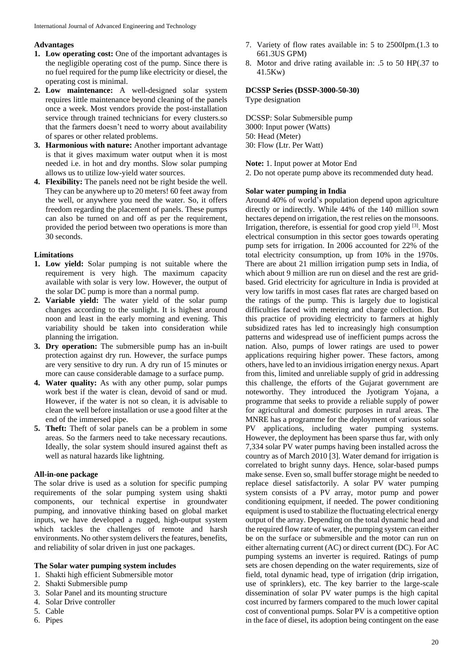# **Advantages**

- **1. Low operating cost:** One of the important advantages is the negligible operating cost of the pump. Since there is no fuel required for the pump like electricity or diesel, the operating cost is minimal.
- **2. Low maintenance:** A well-designed solar system requires little maintenance beyond cleaning of the panels once a week. Most vendors provide the post-installation service through trained technicians for every clusters.so that the farmers doesn't need to worry about availability of spares or other related problems.
- **3. Harmonious with nature:** Another important advantage is that it gives maximum water output when it is most needed i.e. in hot and dry months. Slow solar pumping allows us to utilize low-yield water sources.
- **4. Flexibility:** The panels need not be right beside the well. They can be anywhere up to 20 meters! 60 feet away from the well, or anywhere you need the water. So, it offers freedom regarding the placement of panels. These pumps can also be turned on and off as per the requirement, provided the period between two operations is more than 30 seconds.

# **Limitations**

- **1. Low yield:** Solar pumping is not suitable where the requirement is very high. The maximum capacity available with solar is very low. However, the output of the solar DC pump is more than a normal pump.
- **2. Variable yield:** The water yield of the solar pump changes according to the sunlight. It is highest around noon and least in the early morning and evening. This variability should be taken into consideration while planning the irrigation.
- **3. Dry operation:** The submersible pump has an in-built protection against dry run. However, the surface pumps are very sensitive to dry run. A dry run of 15 minutes or more can cause considerable damage to a surface pump.
- **4. Water quality:** As with any other pump, solar pumps work best if the water is clean, devoid of sand or mud. However, if the water is not so clean, it is advisable to clean the well before installation or use a good filter at the end of the immersed pipe.
- **5. Theft:** Theft of solar panels can be a problem in some areas. So the farmers need to take necessary recautions. Ideally, the solar system should insured against theft as well as natural hazards like lightning.

# **All-in-one package**

The solar drive is used as a solution for specific pumping requirements of the solar pumping system using shakti components, our technical expertise in groundwater pumping, and innovative thinking based on global market inputs, we have developed a rugged, high-output system which tackles the challenges of remote and harsh environments. No other system delivers the features, benefits, and reliability of solar driven in just one packages.

### **The Solar water pumping system includes**

- 1. Shakti high efficient Submersible motor
- 2. Shakti Submersible pump
- 3. Solar Panel and its mounting structure
- 4. Solar Drive controller
- 5. Cable
- 6. Pipes
- 7. Variety of flow rates available in: 5 to 2500Ipm.(1.3 to 661.3US GPM)
- 8. Motor and drive rating available in: .5 to 50 HP(.37 to 41.5Kw)

# **DCSSP Series (DSSP-3000-50-30)**

Type designation

DCSSP: Solar Submersible pump 3000: Input power (Watts) 50: Head (Meter) 30: Flow (Ltr. Per Watt)

**Note:** 1. Input power at Motor End

2. Do not operate pump above its recommended duty head.

### **Solar water pumping in India**

Around 40% of world's population depend upon agriculture directly or indirectly. While 44% of the 140 million sown hectares depend on irrigation, the rest relies on the monsoons. Irrigation, therefore, is essential for good crop yield [3]. Most electrical consumption in this sector goes towards operating pump sets for irrigation. In 2006 accounted for 22% of the total electricity consumption, up from 10% in the 1970s. There are about 21 million irrigation pump sets in India, of which about 9 million are run on diesel and the rest are gridbased. Grid electricity for agriculture in India is provided at very low tariffs in most cases flat rates are charged based on the ratings of the pump. This is largely due to logistical difficulties faced with metering and charge collection. But this practice of providing electricity to farmers at highly subsidized rates has led to increasingly high consumption patterns and widespread use of inefficient pumps across the nation. Also, pumps of lower ratings are used to power applications requiring higher power. These factors, among others, have led to an invidious irrigation energy nexus. Apart from this, limited and unreliable supply of grid in addressing this challenge, the efforts of the Gujarat government are noteworthy. They introduced the Jyotigram Yojana, a programme that seeks to provide a reliable supply of power for agricultural and domestic purposes in rural areas. The MNRE has a programme for the deployment of various solar PV applications, including water pumping systems. However, the deployment has been sparse thus far, with only 7,334 solar PV water pumps having been installed across the country as of March 2010 [3]. Water demand for irrigation is correlated to bright sunny days. Hence, solar-based pumps make sense. Even so, small buffer storage might be needed to replace diesel satisfactorily. A solar PV water pumping system consists of a PV array, motor pump and power conditioning equipment, if needed. The power conditioning equipment is used to stabilize the fluctuating electrical energy output of the array. Depending on the total dynamic head and the required flow rate of water, the pumping system can either be on the surface or submersible and the motor can run on either alternating current (AC) or direct current (DC). For AC pumping systems an inverter is required. Ratings of pump sets are chosen depending on the water requirements, size of field, total dynamic head, type of irrigation (drip irrigation, use of sprinklers), etc. The key barrier to the large-scale dissemination of solar PV water pumps is the high capital cost incurred by farmers compared to the much lower capital cost of conventional pumps. Solar PV is a competitive option in the face of diesel, its adoption being contingent on the ease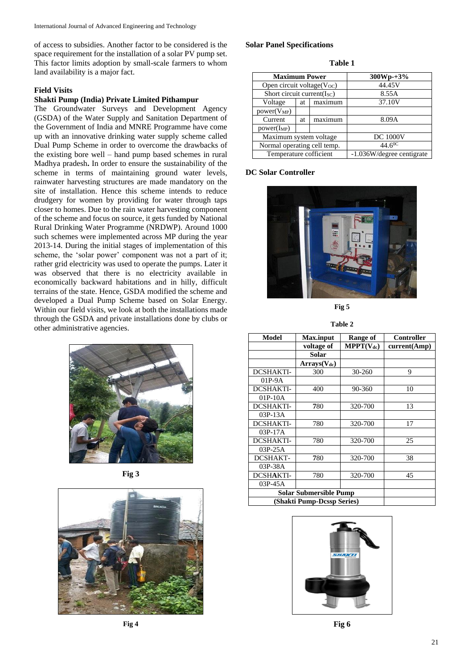of access to subsidies. Another factor to be considered is the space requirement for the installation of a solar PV pump set. This factor limits adoption by small-scale farmers to whom land availability is a major fact.

### **Field Visits**

## **Shakti Pump (India) Private Limited Pithampur**

The Groundwater Surveys and Development Agency (GSDA) of the Water Supply and Sanitation Department of the Government of India and MNRE Programme have come up with an innovative drinking water supply scheme called Dual Pump Scheme in order to overcome the drawbacks of the existing bore well – hand pump based schemes in rural Madhya pradesh**.** In order to ensure the sustainability of the scheme in terms of maintaining ground water levels, rainwater harvesting structures are made mandatory on the site of installation. Hence this scheme intends to reduce drudgery for women by providing for water through taps closer to homes. Due to the rain water harvesting component of the scheme and focus on source, it gets funded by National Rural Drinking Water Programme (NRDWP). Around 1000 such schemes were implemented across MP during the year 2013-14. During the initial stages of implementation of this scheme, the 'solar power' component was not a part of it; rather grid electricity was used to operate the pumps. Later it was observed that there is no electricity available in economically backward habitations and in hilly, difficult terrains of the state. Hence, GSDA modified the scheme and developed a Dual Pump Scheme based on Solar Energy. Within our field visits, we look at both the installations made through the GSDA and private installations done by clubs or other administrative agencies.



**Fig 3**



**Fig 4**

### **Solar Panel Specifications**

**Table 1**

| <b>Maximum Power</b>          |    |         | $300Wp+3%$                |
|-------------------------------|----|---------|---------------------------|
| Open circuit voltage(Voc)     |    |         | 44.45V                    |
| Short circuit current $(ISC)$ |    |         | 8.55A                     |
| Voltage                       | at | maximum | 37.10V                    |
| $power(V_{MP})$               |    |         |                           |
| Current                       | at | maximum | 8.09A                     |
| $power(I_{MP})$               |    |         |                           |
| Maximum system voltage        |    |         | <b>DC 1000V</b>           |
| Normal operating cell temp.   |    |         | $44.6^{0}C$               |
| Temperature cofficient        |    |         | -1.036W/degree centigrate |

### **DC Solar Controller**



**Fig 5**

**Table 2**

| Model                      | <b>Max.input</b> | Range of              | <b>Controller</b> |
|----------------------------|------------------|-----------------------|-------------------|
|                            | voltage of       | $\text{MPPT}(V_{dc})$ | current(Amp)      |
|                            | Solar            |                       |                   |
|                            | $Arrays(V_{dc})$ |                       |                   |
| <b>DCSHAKTI-</b>           | 300              | 30-260                | 9                 |
| 01P-9A                     |                  |                       |                   |
| <b>DCSHAKTI-</b>           | 400              | 90-360                | 10                |
| 01P-10A                    |                  |                       |                   |
| <b>DCSHAKTI-</b>           | 780              | 320-700               | 13                |
| 03P-13A                    |                  |                       |                   |
| <b>DCSHAKTI-</b>           | 780              | 320-700               | 17                |
| $03P-17A$                  |                  |                       |                   |
| <b>DCSHAKTI-</b>           | 780              | 320-700               | 25                |
| $03P-25A$                  |                  |                       |                   |
| <b>DCSHAKT-</b>            | 780              | 320-700               | 38                |
| 03P-38A                    |                  |                       |                   |
| DCSHAKTI-                  | 780              | 320-700               | 45                |
| 03P-45A                    |                  |                       |                   |
| Solar Submersible Pump     |                  |                       |                   |
| (Shakti Pump-Dcssp Series) |                  |                       |                   |



**Fig 6**